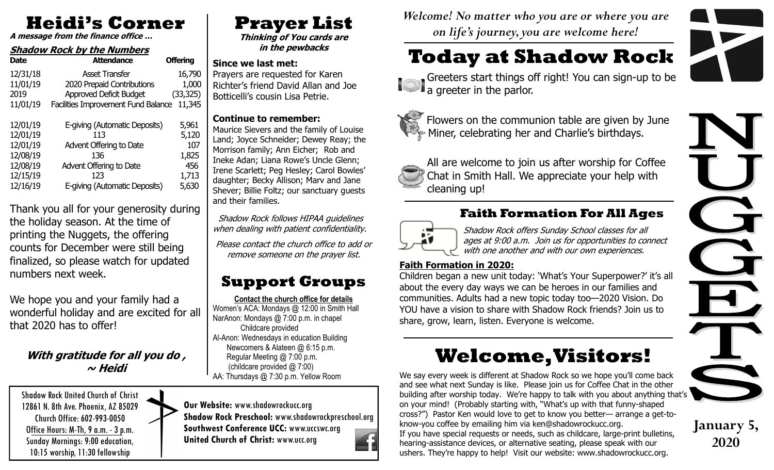# **Heidi's Corner**

**A message from the finance office …**

## **Shadow Rock by the Numbers**

| <b>Date</b> | <b>Attendance</b>                          | <b>Offering</b> |
|-------------|--------------------------------------------|-----------------|
| 12/31/18    | Asset Transfer                             | 16,790          |
| 11/01/19    | 2020 Prepaid Contributions                 | 1,000           |
| 2019        | Approved Deficit Budget                    | (33, 325)       |
| 11/01/19    | <b>Facilities Improvement Fund Balance</b> | 11,345          |
| 12/01/19    | E-giving (Automatic Deposits)              | 5,961           |
| 12/01/19    | 113                                        | 5,120           |
| 12/01/19    | Advent Offering to Date                    | 107             |
| 12/08/19    | 136                                        | 1,825           |
| 12/08/19    | Advent Offering to Date                    | 456             |
| 12/15/19    | 123                                        | 1,713           |
| 12/16/19    | E-giving (Automatic Deposits)              | 5,630           |

Thank you all for your generosity during the holiday season. At the time of printing the Nuggets, the offering counts for December were still being finalized, so please watch for updated numbers next week.

We hope you and your family had a wonderful holiday and are excited for all that 2020 has to offer!

### **With gratitude for all you do , ~ Heidi**

Shadow Rock United Church of Christ 12861 N. 8th Ave. Phoenix, AZ 85029 Church Office: 602-993-0050 Office Hours: M-Th, 9 a.m. - 3 p.m. Sunday Mornings: 9:00 education, 10:15 worship, 11:30 fellowship

# **Prayer List**

 **Thinking of You cards are in the pewbacks** 

#### **Since we last met:**

 Prayers are requested for Karen Richter's friend David Allan and Joe Botticelli's cousin Lisa Petrie.

#### **Continue to remember:**

 Maurice Sievers and the family of Louise Land; Joyce Schneider; Dewey Reay; the Morrison family; Ann Eicher; Rob and Ineke Adan; Liana Rowe's Uncle Glenn; Irene Scarlett; Peg Hesley; Carol Bowles' daughter; Becky Allison; Marv and Jane Shever; Billie Foltz; our sanctuary guests and their families.

 Shadow Rock follows HIPAA guidelines when dealing with patient confidentiality.

Please contact the church office to add or remove someone on the prayer list.

## **Support Groups**

**Contact the church office for details** Women's ACA: Mondays @ 12:00 in Smith Hall NarAnon: Mondays @ 7:00 p.m. in chapel Childcare provided Al-Anon: Wednesdays in education Building Newcomers & Alateen @ 6:15 p.m. Regular Meeting @ 7:00 p.m. (childcare provided @ 7:00) AA: Thursdays @ 7:30 p.m. Yellow Room

**Our Website:** www.shadowrockucc.org **Shadow Rock Preschool:** www.shadowrockpreschool.org **Southwest Conference UCC:** www.uccswc.org**United Church of Christ:** www.ucc.org



*Welcome! No matter who you are or where you are on life's journey, you are welcome here!* 

# **Today at Shadow Rock**

 Greeters start things off right! You can sign-up to be a greeter in the parlor.



Flowers on the communion table are given by June Miner, celebrating her and Charlie's birthdays.



All are welcome to join us after worship for Coffee Chat in Smith Hall. We appreciate your help with cleaning up!

## **Faith Formation For All Ages**



Shadow Rock offers Sunday School classes for all ages at 9:00 a.m. Join us for opportunities to connect with one another and with our own experiences.

#### **Faith Formation in 2020:**

 Children began a new unit today: 'What's Your Superpower?' it's all about the every day ways we can be heroes in our families and communities. Adults had a new topic today too—2020 Vision. Do YOU have a vision to share with Shadow Rock friends? Join us to share, grow, learn, listen. Everyone is welcome.

# **Welcome, Visitors!**

We say every week is different at Shadow Rock so we hope you'll come back and see what next Sunday is like. Please join us for Coffee Chat in the other building after worship today. We're happy to talk with you about anything that's on your mind! (Probably starting with, "What's up with that funny-shaped cross?") Pastor Ken would love to get to know you better— arrange a get-toknow-you coffee by emailing him via ken@shadowrockucc.org. If you have special requests or needs, such as childcare, large-print bulletins, hearing-assistance devices, or alternative seating, please speak with our ushers. They're happy to help! Visit our website: www.shadowrockucc.org.



**January 5,** 

**2020**